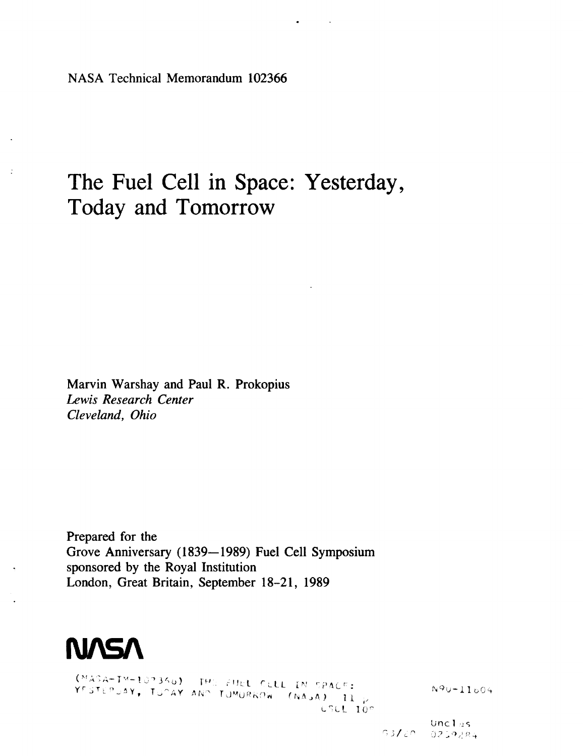NASA Technical Memorandum 102366

# The Fuel Cell in Space: Yesterday, Today and Tomorrow

Marvin Warshay and Paul R. Prokopius *Lewis Research Center Cleveland, Ohio*

Prepared for the Grove Anniversary (1839-1989) Fuel Cell Symposium sponsored by the Royal Institution London, Great Britain, September 18-21, 1989



(MASA-TW-102366) THE FUEL CELL IN SPACE: YFSTEPSAY, TUDAY AND TUMURKOW (NASA) 11 p  $CSLL$  10<sup>o</sup>

N90-11604

Unclas  $53/20 - 0239284$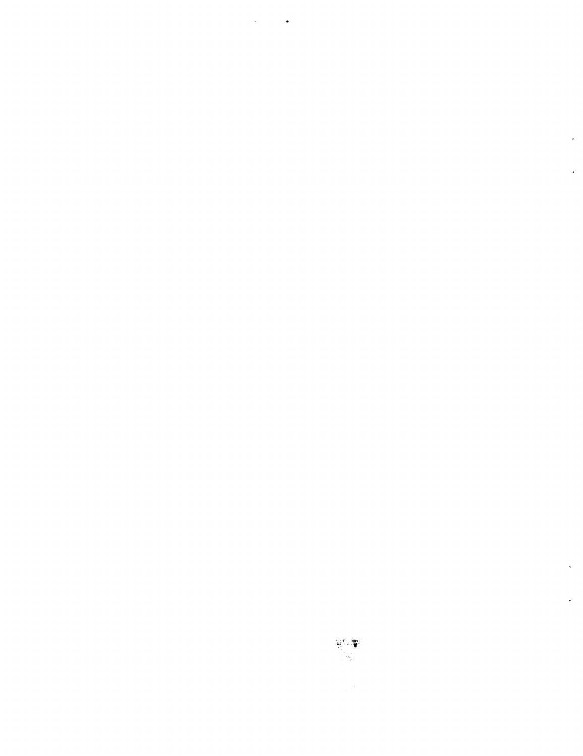$\mathcal{A}^{\text{max}}_{\text{max}}$  ,  $\mathcal{A}^{\text{max}}_{\text{max}}$ 

 $\epsilon$ 

 $\mathcal{L}^{\pm}$ 

ä,  $\Box$ 

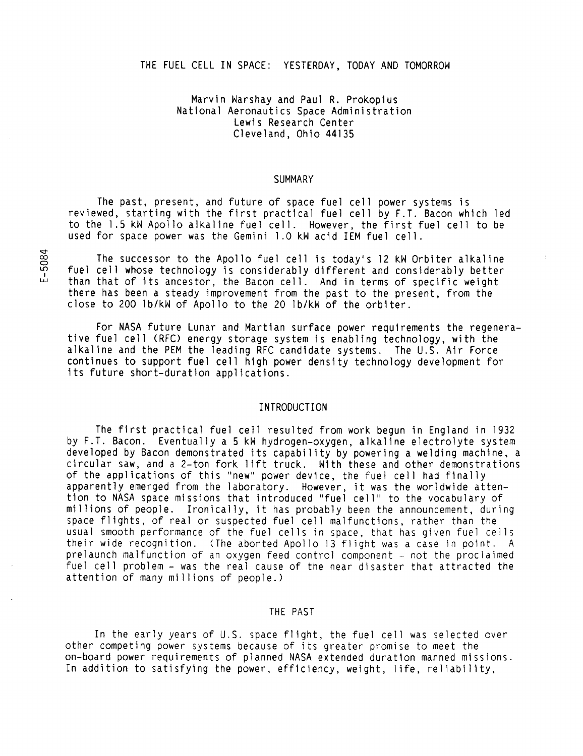# THE FUEL CELL IN SPACE: YESTERDAY, TODAY AND TOMORROW

# Marvin Warshay and Paul R. Prokopius National Aeronautics Space Administration Lewis Research Center Cleveland, Ohio 44135

#### **SUMMARY**

The past, present, and future of space fuel cell power systems is reviewed, starting with the first practical fuel ceil by F.T. Bacon which led to the 1.5 kW Apollo alkaline fuel ce11. However, the first fuel cell to be used for space power was the Gemini 1.0 kW acid IEM fuel cell.

The successor to the Apollo fuel cell is today's 12 kW Orbiter alkaline fuel cell whose technology is considerably different and considerably better than that of its ancestor, the Bacon cell. And in terms of specific weight there has been a steady improvement from the past to the present, from the close to 200 Ib/kW of Apollo to the 20 Ib/kW of the orbiter.

For NASA future Lunar and Martian surface power requirements the regenerative fuel cell (RFC) energy storage system is enabling technology, with the alkaline and the PEM the leading RFC candidate systems. The U.S. Air Force continues to support fuel cell high power density technology development for its future short-duration applications.

### INTRODUCTION

The first practical fuel cell resulted from work begun in England in 1932 by F.T. Bacon. Eventually a 5 kW hydrogen-oxygen, alkaline electrolyte system developed by Bacon demonstrated its capability by powering a welding machine, a circular saw, and a 2-ton fork lift truck. With these and other demonstrations of the applications of this "new" power device, the fuel cell had finally apparently emerged from the laboratory. However, it was the worldwide attention to NASA space missions that introduced "fuel cell" to the vocabulary of millions of people. Ironically, it has probably been the announcement, during space flights, of real or suspected fuel cell malfunctions, rather than the usual smooth performance of the fuel cells in space, that has given fuel cells their wide recognition. (The aborted Apollo 13 flight was a case in point. A prelaunch malfunction of an oxygen feed control component - not the proclaimed fuel cell problem - was the real cause of the near disaster that attracted the attention of many millions of people.)

### THE PAST

In the early years of U.S. space flight, the fuel cell was selected over other competing power systems because of its greater promise to meet the on-board power requirements of planned NASA extended duration manned missions. In addition to satisfying the power, efficiency, weight, life, reliability,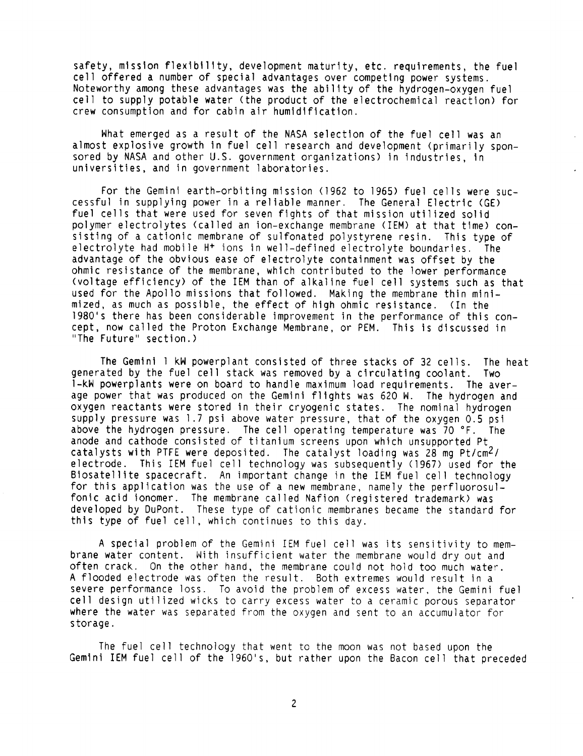safety, mission flexibility, development maturity, etc. requirements, the fuel cell offered a numberof special advantages over competing power systems. Noteworthy among these advantages was the ability of the hydrogen-oxygen fuel cell to supply potable water (the product of the electrochemical reaction) for crew consumption and for cabin air humidlfication.

What emerged as a result of the NASA selection of the fuel cell was an almost explosive growth in fuel cell research and development (primarily sponsored by NASA and other U.S. government organizations) in industries, in universities, and in government laboratories.

For the Gemini earth-orbiting mission (1962 to 1965) fuel cells were successful in supplying power in a reliable manner. The General Electric (GE) fuel cells that were used for seven fights of that mission utilized solid polymer electrolytes (called an ion-exchange membrane (IEM) at that time) consisting of a cationic membrane of sulfonated polystyrene resin. This type of electrolyte had mobile H+ ions in well-defined electrolyte boundaries. The advantage of the obvious ease of electrolyte containment was offset by the ohmic resistance of the membrane, which contributed to the lower performance (voltage efficiency) of the IEM than of alkaline fuel cell systems such as that used for the Apollo missions that followed. Making the membrane thin minimized, as much as possible, the effect of high ohmic resistance. (In the 1980's there has been considerable improvement in the performance of this concept, now called the Proton Exchange Membrane, or PEM. This is discussed in "The Future" section.)

The Gemini l kW powerplant consisted of three stacks of 32 cells. The heat generated by the fuel cell stack was removed by a circulating coolant. Two ]-kW powerplants were on board to handle maximum load requirements. The average power that was produced on the Gemini flights was 620 W. The hydrogen and oxygen reactants were stored in their cryogenic states. The nominal hydrogen supply pressure was 1.7 psi above water pressure, that of the oxygen 0.5 psi above the hydrogen pressure. The cell operating temperature was 70 °F. The anode and cathode consisted of titanlum screens upon which unsupported Pt catalysts with PTFE were deposited. The catalyst loading was 28 mg Pt/cm2/ electrode. This IEM fuel cell technology was subsequently (1967) used for the Biosatellite spacecraft. An important change in the IEM fuel cell technology for this application was the use of a new membrane, namely the perfluorosulfonic acid ionomer. The membrane called Nafion (registered trademark) was developed by DuPont. These type of cationic membranes became the standard for this type of fuel cell, which continues to this day.

A special problem of the Gemini IEM fuel cell was its sensitivity to membrane water content. Nith insufficient water the membrane would dry out and often crack. On the other hand, the membrane could not hold too much water. A flooded electrode was often the result. Both extremes would result in a severe performance loss. To avoid the problem of excess water, the Gemini fuel cell design utilized wicks to carry excess water to a ceramic porous separator where the water was separated from the oxygen and sent to an accumulator for storage.

The fuel cell technology that went to the moon was not based upon the Gemini IEM fuel cell of the ]960's, but rather upon the Bacon cell that preceded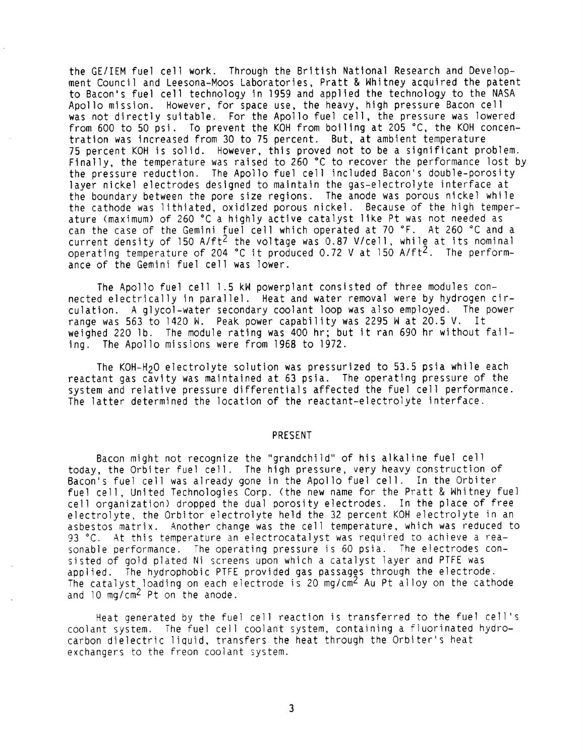the GE/IEM fuel cell work. Through the British National Research and Development Council and Leesona-Moos Laboratories, Pratt & Whitney acquired the patent to Bacon's fuel cell technology in 1959 and applied the technology to the NASA Apollo mission. However, for space use, the heavy, high pressure Bacon cell was not directly suitable. For the Apollo fuel cell, the pressure was lowered from 600 to 50 psi. To prevent the KOH from boiling at 205 °C, the KOH concentration was increased from 30 to 75 percent. But, at ambient temperature 75 percent KOH is solid. However, this proved not to be a significant problem. Finally, the temperature was raised to 260 °C to recover the performance lost by the pressure reduction. The Apollo fuel cell included Bacon's double-porosity layer nickel electrodes designed to maintain the gas-electrolyte interface at the boundary between the pore size regions. The anode was porous nickel while the cathode was lithiated, oxidized porous nickel. Because of the high temperature <maximum) of 260 °C a highly active catalyst like Pt was not needed as can the case of the Gemini fuel cell which operated at 70 °F. At 260 °C and a current density of 150 A/ft<sup>2</sup> the voltage was 0.87 V/cell, while at its nominal operating temperature of 204 °C it produced 0.72 V at 150 A/ft<sup>2</sup>. The performance of the Gemini fuel cell was lower.

The Apollo fuel cell 1.5 KN powerplant consisted of three modules connected electrically in parallel. Heat and water removal were by hydrogen circulation. A glycol-water secondary coolant loop was also employed. The power range was 563 to 1420 W. Peak power capability was 2295 W at 20.5 V. It weighed 220 lb. The module rating was 400 hr; but it ran 690 hr without failing. The Apollo missions were from 1968 to 1972.

The KOH-H20 electrolyte solution was pressurized to 53.5 psia while each reactant gas cavity was maintained at 63 psia. The operating pressure of the system and relative pressure differentials affected the fuel cell performance. The latter determined the location of the reactant-electrolyte interface.

#### PRESENT

Bacon might not recognize the "grandchild" of his alkaline fuel cell today, the Orbiter fuel ceil. The high pressure, very heavy construction of Bacon's fuel cell was already gone in the Apollo fuel cell. In the Orbiter fuel cell, United Technologies Corp. (the new name for the Pratt & Whitney fuel cell organization) dropped the dual porosity electrodes. In the place of free electrolyte, the Orbitor electrolyte held the 32 percent KOH electrolyte in an asbestos matrix. Another change was the cell temperature, which was reduced to 93 °C. At this temperature an electrocatalyst was required to achieve a reasonable performance. The operating pressure is 60 psia. The electrodes consisted of gold plated Ni screens upon which a catalyst layer and PTFE was applied. The hydrophobic PTFE provided gas passages through the electrode. The catalyst loading on each electrode is 20 mg/cm<sup>2</sup> Au Pt alloy on the cathode and 10  $mg/cm^2$  Pt on the anode.

Heat generated by the fuel cell reaction is transferred to the fuel cell's coolant system. The fuel cell coolant system, containing a fluorinated hydrocarbon dielectric liquid, transfers the heat through the Orbiter's heat exchangers to the freon coolant system.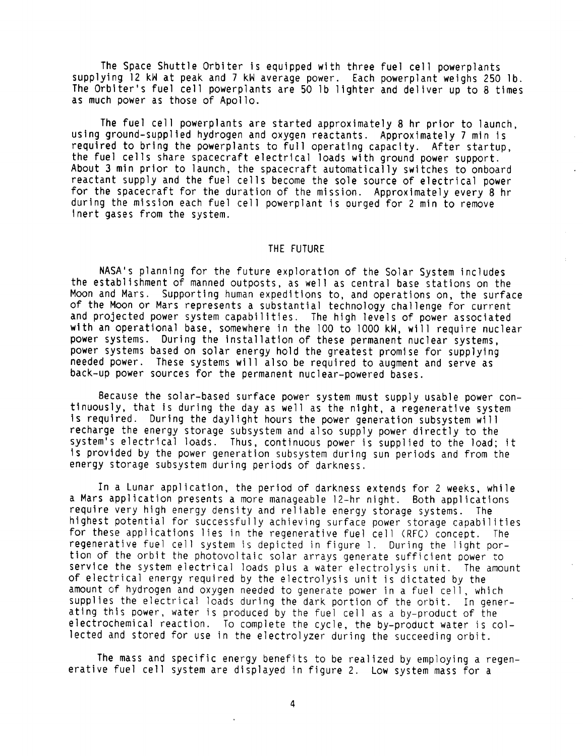The Space Shuttle Orbiter is equipped with three fuel cell powerplants supplying 12 kN at peak and 7 kW average power. Each powerplant weighs 250 lb. The Orbiter's fuel cell powerplants are 50 Ib lighter and deliver up to 8 times as much power as those of Apollo.

The fuel cell powerplants are started approximately 8 hr prior to launch, using ground-supplied hydrogen and oxygen reactants. Approximately 7 min is required to bring the powerplants to full operating capacity. After startup, the fuel cells share spacecraft electrical loads with ground power support. About 3 min prior to launch, the spacecraft automatically switches to onboard reactant supply and the fuel cells become the sole source of electrical power for the spacecraft for the duration of the mission. Approximately every 8 hr during the mission each fuel cell powerplant is ourged for 2 min to remove Inert gases from the system.

#### THE FUTURE

NASA's planning for the future exploration of the Solar System includes the establishment of manned outposts, as well as central base stations on the Moon and Mars. Supporting human expeditions to, and operations on, the surface of the Moon or Mars represents a substantial technology challenge for current and projected power system capabilities. The high levels of power associated with an operational base, somewhere in the I00 to lO00 kW, will require nuclear power systems. During the installation of these permanent nuclear systems, power systems based on solar energy hold the greatest promise for supplying needed power. These systems will also be required to augment and serve as back-up power sources for the permanent nuclear-powered bases.

Because the solar-based surface power system must supply usable power continuously, that is during the day as well as the night, a regenerative system is required. During the daylight hours the power generation subsystem will recharge the energy storage subsystem and also supply power directly to the system's electrical loads. Thus, continuous power is supplied to the load: it is provided by the power generation subsystem during sun periods and from the energy storage subsystem during periods of darkness.

In a Lunar application, the period of darkness extends for 2 weeks, while a Mars application presents a more manageable 12-hr night. Both applications require very high energy density and reliable energy storage systems. The highest potential for successfully achieving surface power storage capabilities for these applications lies in the regenerative fuel cell (RFC) concept. The regenerative fuel cell system is depicted in figure I. During the light portion of the orbit the photovoltaic solar arrays generate sufficient power to service the system electrical loads plus a water electrolysis unit. The amount of electrical energy required by the electrolysis unit is dictated by the amount of hydrogen and oxygen needed to generate power in a fuel cell, which supplies the electrical loads during the dark portion of the orbit. In generating this power, water is produced by the fuel cell as a by-product of the electrochemical reaction. To complete the cycle, the by-product water is collected and stored for use in the electrolyzer during the succeeding orbit.

The mass and specific energy benefits to be realized by employing a regenerative fuel cell system are displayed in figure 2. Low system mass for a

4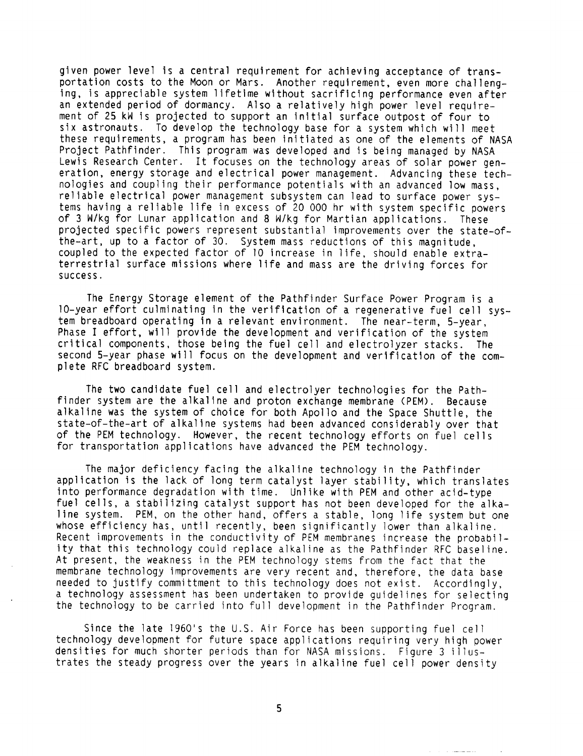given power level is a central requirement for achieving acceptance of transportation costs to the Moon or Mars. Another requirement, even more challenging, is appreciable system lifetime without sacrificing performance even after an extended period of dormancy. Also a relatively high power level requirement of 25 kW is projected to support an initial surface outpost of four to six astronauts. To develop the technology base for a system which will meet these requirements, a program has been initiated as one of the elements of NASA Project Pathfinder. This program was developed and is being managed by NASA Lewis Research Center. It focuses on the technology areas of solar power generation, energy storage and electrical power management. Advancing these technologies and coupling their performance potentials with an advanced low mass, reliable electrical power management subsystem can lead to surface power systems having a reliable life in excess of 20 OOO hr with system specific powers of 3 W/kg for Lunar application and 8 W/kg for Martian applications. These projected specific powers represent substantial improvements over the state-ofthe-art, up to a factor of 30. System mass reductions of this magnitude, coupled to the expected factor of IO increase in life, should enable extraterrestrial surface missions where life and mass are the driving forces for success.

The Energy Storage element of the Pathfinder Surface Power Program is a IO-year effort culminating in the verification of a regenerative fuel cell system breadboard operating in a relevant environment. The near-term, 5-year, Phase I effort, will provide the development and verification of the system critical components, those being the fuel cell and electrolyzer stacks. The second 5-year phase will focus on the development and verification of the complete RFC breadboard system.

The two candidate fuel cell and electrolyer technologies for the Pathfinder system are the alkaline and proton exchange membrane (PEM). Because alkaline was the system of choice for both Apollo and the Space Shuttle, the state-of-the-art of alkaline systems had been advanced considerably over that of the PEM technology. However, the recent technology efforts on fuel cells for transportation applications have advanced the PEM technology.

The major deficiency facing the alkaline technology in the Pathfinder application is the lack of long term catalyst layer stability, which translates into performance degradation with time. Unlike with PEM and other acid-type fuel cells, a stabilizing catalyst support has not been developed for the alkaline system. PEM, on the other hand, offers a stable, long life system but one whose efficiency has, until recently, been significantly lower than alkaline. Recent improvements in the conductivity of PEM membranes increase the probability that this technology could replace alkaline as the Pathfinder RFC baseline. At present, the weakness in the PEM technology stems From the fact that the membrane technology improvements are very recent and, therefore, the data base needed to justify committment to this technology does not exist. Accordingly, a technology assessment has been undertaken to provide guidelines for selecting the technology to be carried into full development in the Pathfinder Program.

Since the late 1960's the U.S. Air Force has been supporting fuel cell technology development for future space applications requiring very high power densities for much shorter periods than for NASA missions. Figure 3 illustrates the steady progress over the years in alkaline fuel cell power density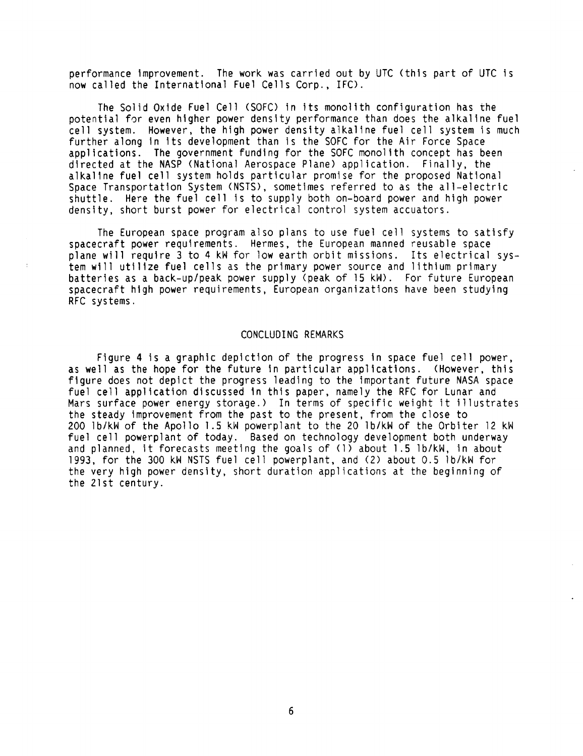performance improvement. The work was carried out by UTC (this part of UTC Is now called the Internatlonal Fuel Ceils Corp., IFC).

The Solid Oxide Fuel Cell (SOFC) in its monollth configuration has the potential for even higher power density performance than does the alkallne fuel cell system. However, the high power density alkallne fuel cell system is much further along in its development than is the SOFC for the Air Force Space applications. The government funding for the SOFC monolith concept has been directed at the NASP (National Aerospace Plane) application. Finally, the alkallne fuel cell system holds particular promise for the proposed National Space Transportation System (NSTS), sometimes referred to as the all-electric shuttle. Here the fuel cell is to supply both on-board power and high power density, short burst power for electrical control system accuators.

The European space program also plans to use fuel cell systems to satisfy spacecraft power requirements. Hermes, the European manned reusable space plane will requlre 3 to 4 kW for low earth orbit missions. Its electrical system will utilize fuel cells as the primary power source and lithium primary batteries as a back-up/peak power supply (peak of 15 kW). For future European spacecraft hlgh power requirements, European organizations have been studying RFC systems.

#### CONCLUDING REMARKS

Figure 4 is a graphic depiction of the progress in space fuel cell power, as well as the hope for the future in particular applications. (However, this figure does not depict the progress leading to the important future NASA space fuel cell application discussed In this paper, namely the RFC for Lunar and Mars surface power energy storage.) In terms of specific weight it illustrates the steady improvement from the past to the present, from the close to 200 Ib/kN of the Apollo 1.5 kW powerplant to the 20 Ib/kW of the Orbiter 12 kN fuel cell powerplant of today. Based on technology development both underway and planned, it forecasts meeting the goals of (1) about 1.5 Ib/kW, in about 1993, for the 300 KW NSTS fuel cell powerplant, and (2) about 0.5 lb/kW for the very high power density, short duration applications at the beginning of the 21st century.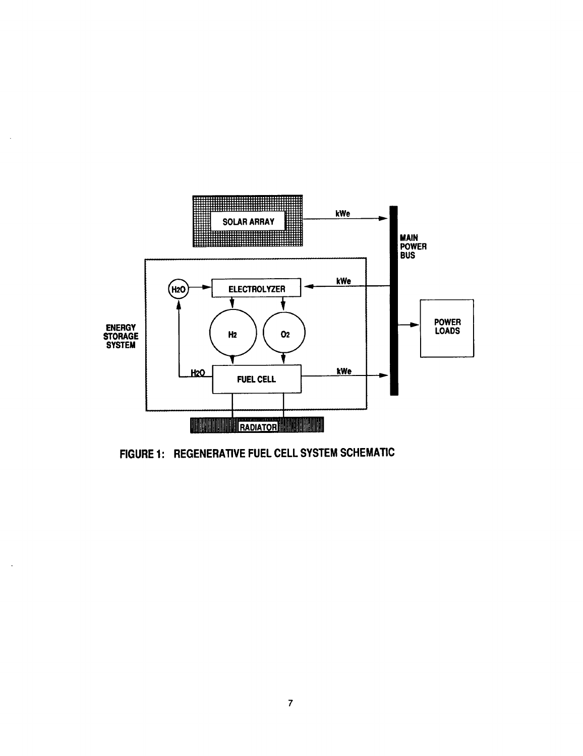

FIGURE 1: REGENERATIVE FUEL CELL SYSTEM SCHEMATIC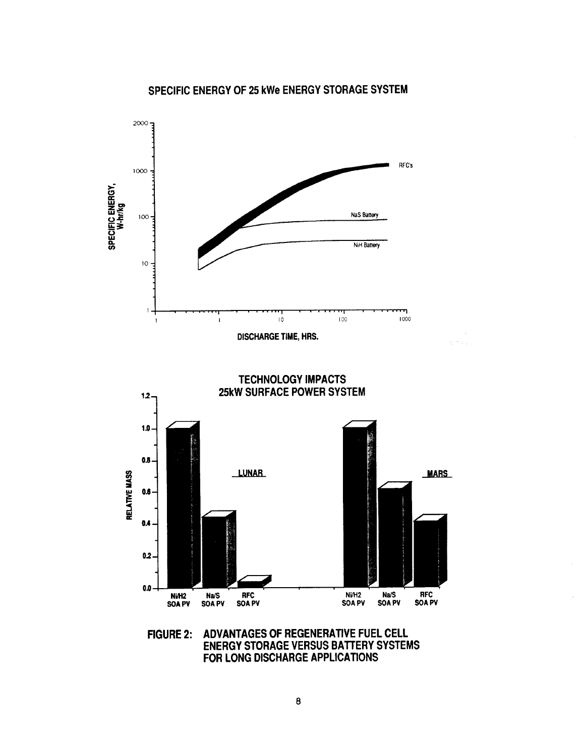

# SPECIFIC ENERGY OF 25 kWe ENERGY STORAGE SYSTEM

ADVANTAGES OF REGENERATIVE FUEL CELL **FIGURE 2: ENERGY STORAGE VERSUS BATTERY SYSTEMS** FOR LONG DISCHARGE APPLICATIONS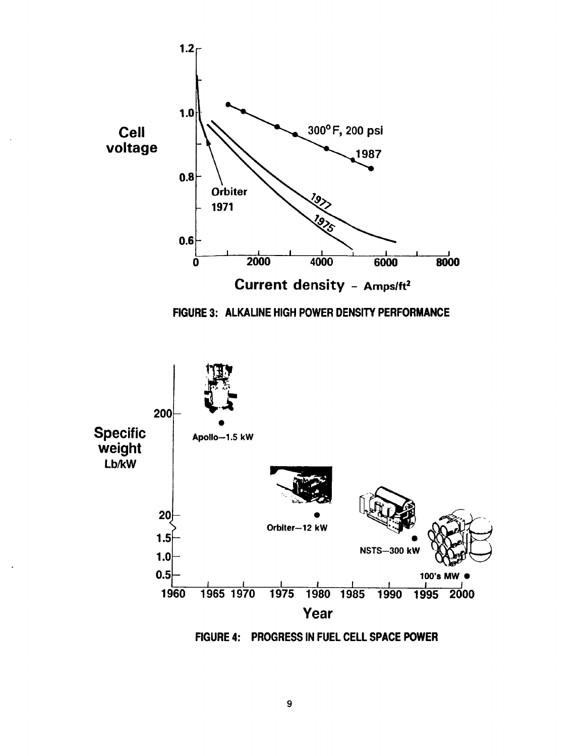

**FIGURE 4: PROGRESS IN FUEL CELL SPACE POWER**